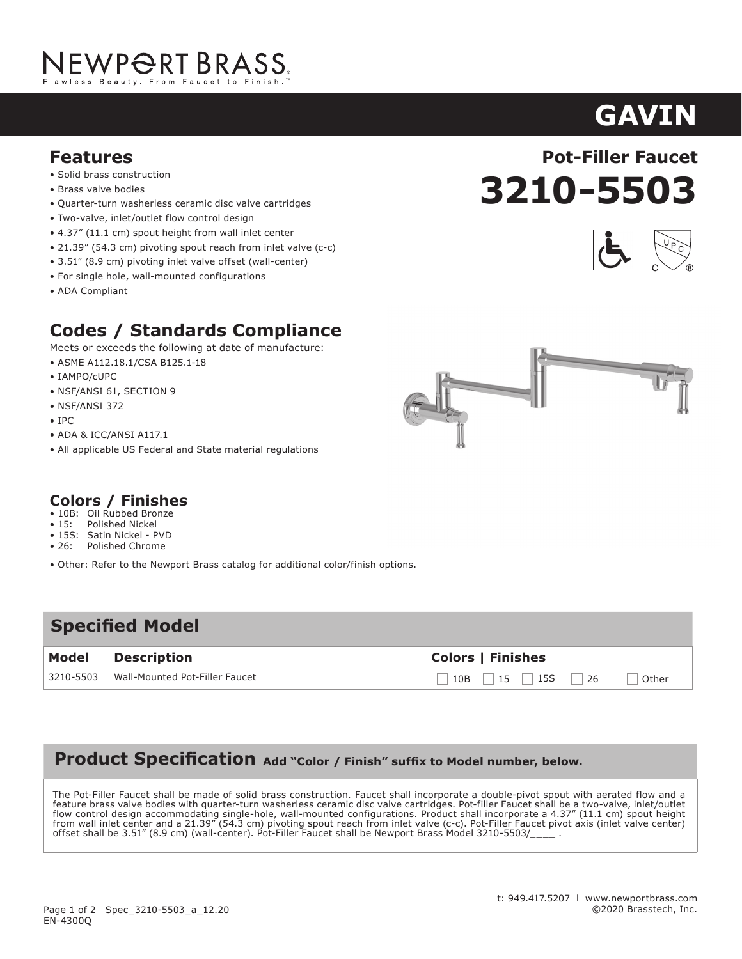# NEWP<del>O</del>RT BRASS.

#### **Features**

- **Solid brass construction**
- Brass valve bodies
- Quarter-turn washerless ceramic disc valve cartridges
- $\bullet$  Two-valve, inlet/outlet flow control design
- 4.37" (11.1 cm) spout height from wall inlet center
- 21.39" (54.3 cm) pivoting spout reach from inlet valve (c-c)
- $3.51''$  (8.9 cm) pivoting inlet valve offset (wall-center)
- For single hole, wall-mounted configurations
- ADA Compliant  $\mathsf{p}$

## **Codes / Standards Compliance**

Meets or exceeds the following at date of manufacture:

- ASME A112.18.1/CSA B125.1-18
- IAMPO/cUPC
- $\bullet$  NSF/ANSI 61, SECTION 9
- NSF/ANSI 372
- IPC

 $\overline{a}$ 

- ADA & ICC/ANSI A117.1  $M_{\text{N}}$  at date of manufacture:
- $\bullet$  All applicable US Federal and State material regulations

#### **Colors / Finishes** • IPC

- 10B: Oil Rubbed Bronze<br>• 15: Polished Nickel
- 15: Polished Nickel
- 15S: Satin Nickel PVD<br>• 26: Polished Chrome • 26: Polished Chrome
- 
- Other: Refer to the Newport Brass catalog for additional color/finish options.

• All applicable US Federal and State material regulations

### Specified Model

| <b>Model</b> | Description                    | <b>Colors   Finishes</b> |
|--------------|--------------------------------|--------------------------|
| 3210-5503    | Wall-Mounted Pot-Filler Faucet | Other                    |

### **Product Specification Add "Color / Finish" suffix to Model number, below.**

The Pot-Filler Faucet shall be made of solid brass construction. Faucet shall incorporate a double-pivot spout with aerated flow and a feature brass valve bodies with quarter-turn washerless ceramic disc valve cartridges. Pot-filler Faucet shall be a two-valve, inlet/outlet flow control design accommodating single-hole, wall-mounted configurations. Product shall incorporate a 4.37" (11.1 cm) spout height from wall inlet center and a 21.39" (54.3 cm) pivoting spout reach from inlet valve (c-c). Pot-Filler Faucet pivot axis (inlet valve center) offset shall be 3.51" (8.9 cm) (wall-center). Pot-Filler Faucet shall be Newport Brass Model 3210-5503/\_\_\_\_\_.

• 26: Polished Chrome

• Other: Refer to the Newport Brass catalog for







**GAVIN**

**ASTOR**